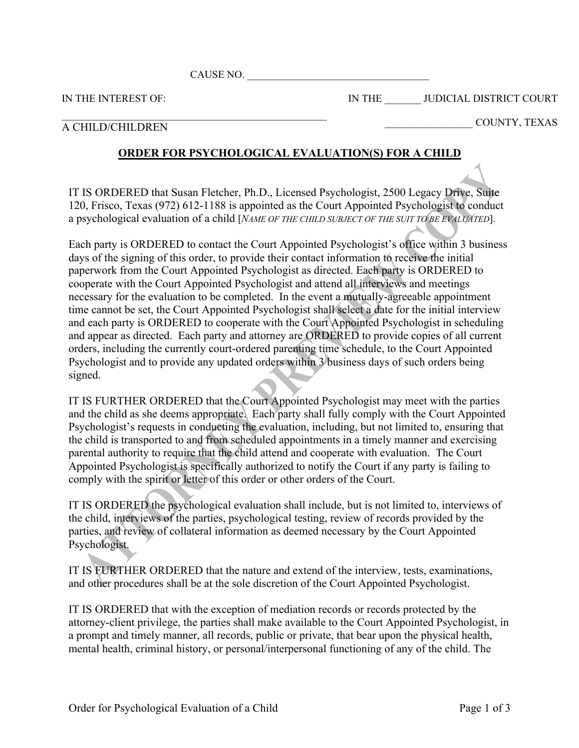CAUSE NO. \_\_\_\_\_\_\_\_\_\_\_\_\_\_\_\_\_\_\_\_\_\_\_\_\_\_\_\_\_\_\_\_\_\_\_

IN THE INTEREST OF:

IN THE \_\_\_\_\_\_\_ JUDICIAL DISTRICT COURT

## $\mathcal{L}_\text{max}$  and the contract of the contract of the contract of the contract of the contract of the contract of the contract of the contract of the contract of the contract of the contract of the contract of the contrac A CHILD/CHILDREN

\_\_\_\_\_\_\_\_\_\_\_\_\_\_\_\_\_ COUNTY, TEXAS

## **ORDER FOR PSYCHOLOGICAL EVALUATION(S) FOR A CHILD**

IT IS ORDERED that Susan Fletcher, Ph.D., Licensed Psychologist, 2500 Legacy Drive, Suite 120, Frisco, Texas (972) 612-1188 is appointed as the Court Appointed Psychologist to conduct a psychological evaluation of a child [*NAME OF THE CHILD SUBJECT OF THE SUIT TO BE EVALUATED*].

Each party is ORDERED to contact the Court Appointed Psychologist's office within 3 business days of the signing of this order, to provide their contact information to receive the initial paperwork from the Court Appointed Psychologist as directed. Each party is ORDERED to cooperate with the Court Appointed Psychologist and attend all interviews and meetings necessary for the evaluation to be completed. In the event a mutually-agreeable appointment time cannot be set, the Court Appointed Psychologist shall select a date for the initial interview and each party is ORDERED to cooperate with the Court Appointed Psychologist in scheduling and appear as directed. Each party and attorney are ORDERED to provide copies of all current orders, including the currently court-ordered parenting time schedule, to the Court Appointed Psychologist and to provide any updated orders within 3 business days of such orders being signed.

IT IS FURTHER ORDERED that the Court Appointed Psychologist may meet with the parties and the child as she deems appropriate. Each party shall fully comply with the Court Appointed Psychologist's requests in conducting the evaluation, including, but not limited to, ensuring that the child is transported to and from scheduled appointments in a timely manner and exercising parental authority to require that the child attend and cooperate with evaluation. The Court Appointed Psychologist is specifically authorized to notify the Court if any party is failing to comply with the spirit or letter of this order or other orders of the Court.

IT IS ORDERED the psychological evaluation shall include, but is not limited to, interviews of the child, interviews of the parties, psychological testing, review of records provided by the parties, and review of collateral information as deemed necessary by the Court Appointed Psychologist.

IT IS FURTHER ORDERED that the nature and extend of the interview, tests, examinations, and other procedures shall be at the sole discretion of the Court Appointed Psychologist.

IT IS ORDERED that with the exception of mediation records or records protected by the attorney-client privilege, the parties shall make available to the Court Appointed Psychologist, in a prompt and timely manner, all records, public or private, that bear upon the physical health, mental health, criminal history, or personal/interpersonal functioning of any of the child. The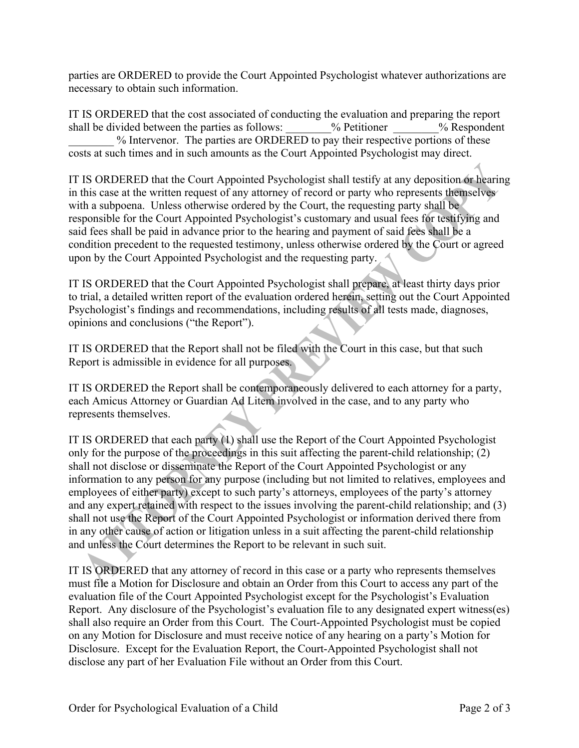parties are ORDERED to provide the Court Appointed Psychologist whatever authorizations are necessary to obtain such information.

IT IS ORDERED that the cost associated of conducting the evaluation and preparing the report shall be divided between the parties as follows:  $\%$  Petitioner  $\%$  Respondent % Intervenor. The parties are ORDERED to pay their respective portions of these costs at such times and in such amounts as the Court Appointed Psychologist may direct.

IT IS ORDERED that the Court Appointed Psychologist shall testify at any deposition or hearing in this case at the written request of any attorney of record or party who represents themselves with a subpoena. Unless otherwise ordered by the Court, the requesting party shall be responsible for the Court Appointed Psychologist's customary and usual fees for testifying and said fees shall be paid in advance prior to the hearing and payment of said fees shall be a condition precedent to the requested testimony, unless otherwise ordered by the Court or agreed upon by the Court Appointed Psychologist and the requesting party.

IT IS ORDERED that the Court Appointed Psychologist shall prepare, at least thirty days prior to trial, a detailed written report of the evaluation ordered herein, setting out the Court Appointed Psychologist's findings and recommendations, including results of all tests made, diagnoses, opinions and conclusions ("the Report").

IT IS ORDERED that the Report shall not be filed with the Court in this case, but that such Report is admissible in evidence for all purposes.

IT IS ORDERED the Report shall be contemporaneously delivered to each attorney for a party, each Amicus Attorney or Guardian Ad Litem involved in the case, and to any party who represents themselves.

IT IS ORDERED that each party (1) shall use the Report of the Court Appointed Psychologist only for the purpose of the proceedings in this suit affecting the parent-child relationship; (2) shall not disclose or disseminate the Report of the Court Appointed Psychologist or any information to any person for any purpose (including but not limited to relatives, employees and employees of either party) except to such party's attorneys, employees of the party's attorney and any expert retained with respect to the issues involving the parent-child relationship; and (3) shall not use the Report of the Court Appointed Psychologist or information derived there from in any other cause of action or litigation unless in a suit affecting the parent-child relationship and unless the Court determines the Report to be relevant in such suit.

IT IS ORDERED that any attorney of record in this case or a party who represents themselves must file a Motion for Disclosure and obtain an Order from this Court to access any part of the evaluation file of the Court Appointed Psychologist except for the Psychologist's Evaluation Report. Any disclosure of the Psychologist's evaluation file to any designated expert witness(es) shall also require an Order from this Court. The Court-Appointed Psychologist must be copied on any Motion for Disclosure and must receive notice of any hearing on a party's Motion for Disclosure. Except for the Evaluation Report, the Court-Appointed Psychologist shall not disclose any part of her Evaluation File without an Order from this Court.